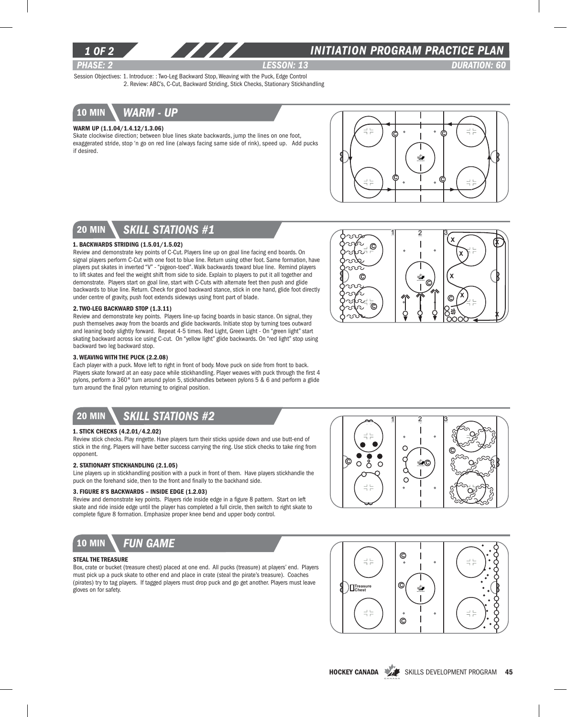

### *INITIATION program PRACTICE PLAN*

 $x \wedge x$ 

X

*PHASE: 2 Lesson: 13 DURATION: 60*  Session Objectives: 1. Introduce: : Two-Leg Backward Stop, Weaving with the Puck, Edge Control 2. Review: ABC's, C-Cut, Backward Striding, Stick Checks, Stationary Stickhandling



#### Warm Up (1.1.04/1.4.12/1.3.06)

Skate clockwise direction; between blue lines skate backwards, jump the lines on one foot, exaggerated stride, stop 'n go on red line (always facing same side of rink), speed up. Add pucks if desired.



 $1 \quad 2 \quad 3$ 

C

X

C

X

X

 $\circledcirc$ 

ි<br>ග

 $\circledcirc$ 

R-

ುಲಾ

ು ೧ Š ΩĪ 5

## 20 min *skill stations #1*

### 1. Backwards Striding (1.5.01/1.5.02)

Review and demonstrate key points of C-Cut. Players line up on goal line facing end boards. On signal players perform C-Cut with one foot to blue line. Return using other foot. Same formation, have players put skates in inverted "V" - "pigeon-toed". Walk backwards toward blue line. Remind players to lift skates and feel the weight shift from side to side. Explain to players to put it all together and demonstrate. Players start on goal line, start with C-Cuts with alternate feet then push and glide backwards to blue line. Return. Check for good backward stance, stick in one hand, glide foot directly under centre of gravity, push foot extends sideways using front part of blade.

#### 2. Two-leg backward stop (1.3.11)

Review and demonstrate key points. Players line-up facing boards in basic stance. On signal, they push themselves away from the boards and glide backwards. Initiate stop by turning toes outward and leaning body slightly forward. Repeat 4-5 times. Red Light, Green Light - On "green light" start skating backward across ice using C-cut. On "yellow light" glide backwards. On "red light" stop using backward two leg backward stop.

### 3. Weaving with the Puck (2.2.08)

Each player with a puck. Move left to right in front of body. Move puck on side from front to back. Players skate forward at an easy pace while stickhandling. Player weaves with puck through the first 4 pylons, perform a 360° turn around pylon 5, stickhandles between pylons 5 & 6 and perform a glide turn around the final pylon returning to original position.

# 20 min *skill stations #2*

#### 1. Stick Checks (4.2.01/4.2.02)

Review stick checks. Play ringette. Have players turn their sticks upside down and use butt-end of stick in the ring. Players will have better success carrying the ring. Use stick checks to take ring from opponent.

#### 2. Stationary Stickhandling (2.1.05)

Line players up in stickhandling position with a puck in front of them. Have players stickhandle the puck on the forehand side, then to the front and finally to the backhand side.

#### 3. Figure 8's Backwards – Inside Edge (1.2.03)

Review and demonstrate key points. Players ride inside edge in a figure 8 pattern. Start on left skate and ride inside edge until the player has completed a full circle, then switch to right skate to complete figure 8 formation. Emphasize proper knee bend and upper body control.



#### Steal the Treasure

Box, crate or bucket (treasure chest) placed at one end. All pucks (treasure) at players' end. Players must pick up a puck skate to other end and place in crate (steal the pirate's treasure). Coaches (pirates) try to tag players. If tagged players must drop puck and go get another. Players must leave gloves on for safety.





HOCKEY CANADA SKILLS DEVELOPMENT PROGRAM 45